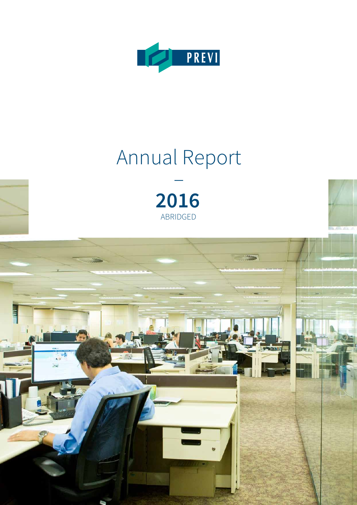

# Annual Report



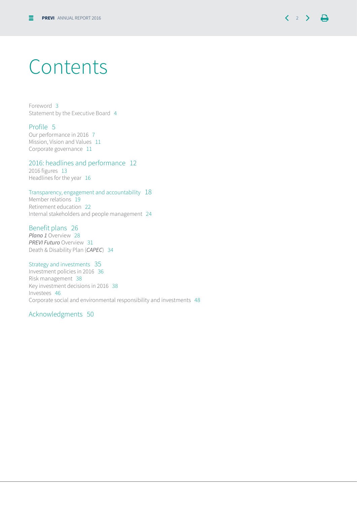

### Contents

Foreword 3 Statement by the Executive Board 4

#### Profile 5

Our performance in 2016 7 Mission, Vision and Values 11 Corporate governance 11

2016: headlines and performance 12

2016 figures 13 Headlines for the year 16

#### Transparency, engagement and accountability 18

Member relations 19 Retirement education 22 Internal stakeholders and people management 24

#### Benefit plans 26

*Plano 1* Overview 28 *PREVI Futuro* Overview 31 Death & Disability Plan (*CAPEC*) 34

Strategy and investments 35 Investment policies in 2016 36 Risk management 38 Key investment decisions in 2016 38 Investees 46 Corporate social and environmental responsibility and investments 48

#### Acknowledgments 50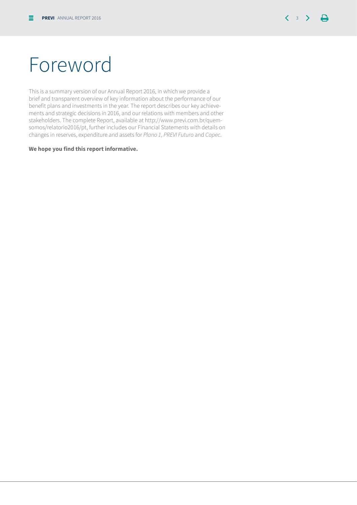## Foreword

This is a summary version of our Annual Report 2016, in which we provide a brief and transparent overview of key information about the performance of our benefit plans and investments in the year. The report describes our key achievements and strategic decisions in 2016, and our relations with members and other stakeholders. The complete Report, available at http://www.previ.com.br/quemsomos/relatorio2016/pt, further includes our Financial Statements with details on changes in reserves, expenditure and assets for *Plano 1*, *PREVI Futuro* and *Capec*.

#### **We hope you find this report informative.**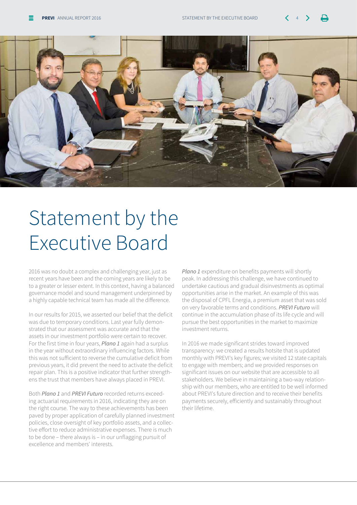

# Statement by the Executive Board

2016 was no doubt a complex and challenging year, just as recent years have been and the coming years are likely to be to a greater or lesser extent. In this context, having a balanced governance model and sound management underpinned by a highly capable technical team has made all the difference.

In our results for 2015, we asserted our belief that the deficit was due to temporary conditions. Last year fully demonstrated that our assessment was accurate and that the assets in our investment portfolio were certain to recover. For the first time in four years, *Plano 1* again had a surplus in the year without extraordinary influencing factors. While this was not sufficient to reverse the cumulative deficit from previous years, it did prevent the need to activate the deficit repair plan. This is a positive indicator that further strengthens the trust that members have always placed in PREVI.

Both *Plano 1* and *PREVI Futuro* recorded returns exceeding actuarial requirements in 2016, indicating they are on the right course. The way to these achievements has been paved by proper application of carefully planned investment policies, close oversight of key portfolio assets, and a collective effort to reduce administrative expenses. There is much to be done – there always is – in our unflagging pursuit of excellence and members' interests.

*Plano 1* expenditure on benefits payments will shortly peak. In addressing this challenge, we have continued to undertake cautious and gradual disinvestments as optimal opportunities arise in the market. An example of this was the disposal of CPFL Energia, a premium asset that was sold on very favorable terms and conditions. *PREVI Futuro* will continue in the accumulation phase of its life cycle and will pursue the best opportunities in the market to maximize investment returns.

In 2016 we made significant strides toward improved transparency: we created a results hotsite that is updated monthly with PREVI's key figures; we visited 12 state capitals to engage with members; and we provided responses on significant issues on our website that are accessible to all stakeholders. We believe in maintaining a two-way relationship with our members, who are entitled to be well informed about PREVI's future direction and to receive their benefits payments securely, efficiently and sustainably throughout their lifetime.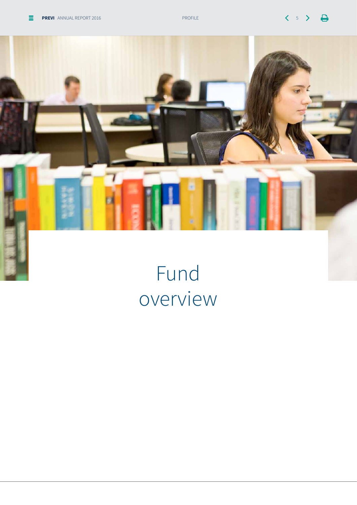



# Fund overview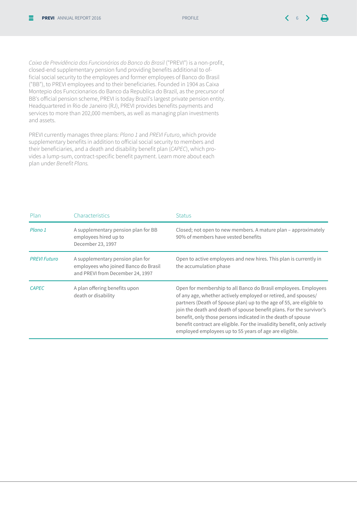*Caixa de Previdência dos Funcionários do Banco do Brasil* ("PREVI") is a non-profit, closed-end supplementary pension fund providing benefits additional to official social security to the employees and former employees of Banco do Brasil ("BB"), to PREVI employees and to their beneficiaries. Founded in 1904 as Caixa Montepio dos Funccionarios do Banco da Republica do Brazil, as the precursor of BB's official pension scheme, PREVI is today Brazil's largest private pension entity. Headquartered in Rio de Janeiro (RJ), PREVI provides benefits payments and services to more than 202,000 members, as well as managing plan investments and assets.

PREVI currently manages three plans: *Plano 1* and *PREVI Futuro*, which provide supplementary benefits in addition to official social security to members and their beneficiaries, and a death and disability benefit plan (*CAPEC*), which provides a lump-sum, contract-specific benefit payment. Learn more about each plan under Benefit Plans.

| Plan                | Characteristics                                                                                              | <b>Status</b>                                                                                                                                                                                                                                                                                                                                                                                                                                                                           |
|---------------------|--------------------------------------------------------------------------------------------------------------|-----------------------------------------------------------------------------------------------------------------------------------------------------------------------------------------------------------------------------------------------------------------------------------------------------------------------------------------------------------------------------------------------------------------------------------------------------------------------------------------|
| Plano 1             | A supplementary pension plan for BB<br>employees hired up to<br>December 23, 1997                            | Closed; not open to new members. A mature plan – approximately<br>90% of members have vested benefits                                                                                                                                                                                                                                                                                                                                                                                   |
| <b>PREVI Futuro</b> | A supplementary pension plan for<br>employees who joined Banco do Brasil<br>and PREVI from December 24, 1997 | Open to active employees and new hires. This plan is currently in<br>the accumulation phase                                                                                                                                                                                                                                                                                                                                                                                             |
| <b>CAPEC</b>        | A plan offering benefits upon<br>death or disability                                                         | Open for membership to all Banco do Brasil employees. Employees<br>of any age, whether actively employed or retired, and spouses/<br>partners (Death of Spouse plan) up to the age of 55, are eligible to<br>join the death and death of spouse benefit plans. For the survivor's<br>benefit, only those persons indicated in the death of spouse<br>benefit contract are eligible. For the invalidity benefit, only actively<br>employed employees up to 55 years of age are eligible. |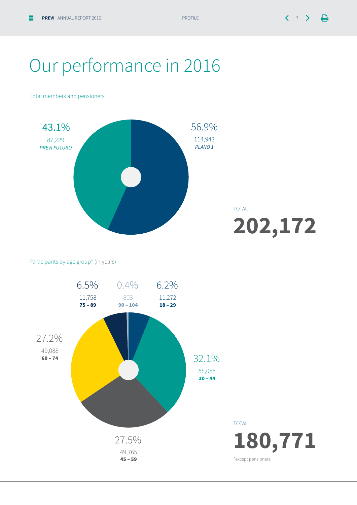### Our performance in 2016

Total members and pensioners



Participants by age group\* (in years)

![](_page_6_Figure_7.jpeg)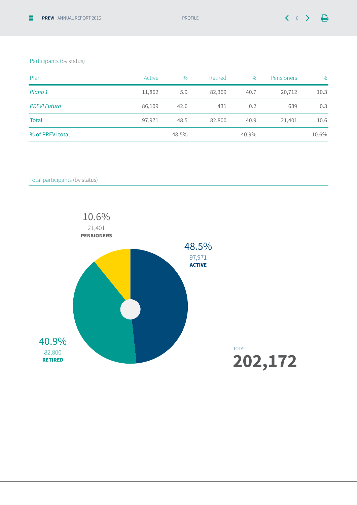#### Participants (by status)

| Plan                | Active | $\%$  | Retired | $\%$  | <b>Pensioners</b> | $\%$  |
|---------------------|--------|-------|---------|-------|-------------------|-------|
| Plano 1             | 11,862 | 5.9   | 82,369  | 40.7  | 20,712            | 10.3  |
| <b>PREVI Futuro</b> | 86,109 | 42.6  | 431     | 0.2   | 689               | 0.3   |
| <b>Total</b>        | 97,971 | 48.5  | 82,800  | 40.9  | 21,401            | 10.6  |
| % of PREVI total    |        | 48.5% |         | 40.9% |                   | 10.6% |

Total participants (by status)

![](_page_7_Figure_6.jpeg)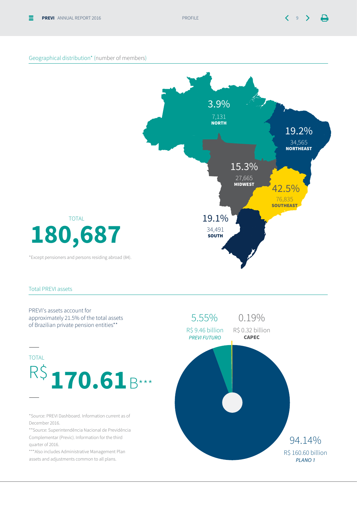#### Geographical distribution\* (number of members)

![](_page_8_Figure_4.jpeg)

#### Total PREVI assets

![](_page_8_Figure_6.jpeg)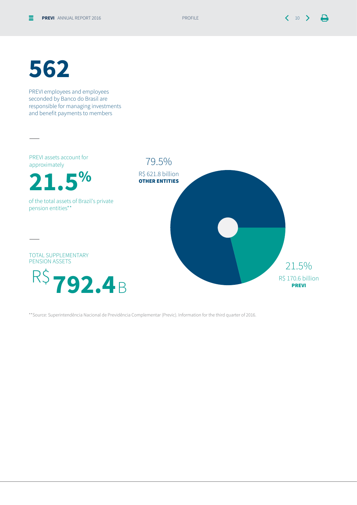## **562**

PREVI employees and employees seconded by Banco do Brasil are responsible for managing investments and benefit payments to members

![](_page_9_Figure_5.jpeg)

\*\*Source: Superintendência Nacional de Previdência Complementar (Previc). Information for the third quarter of 2016.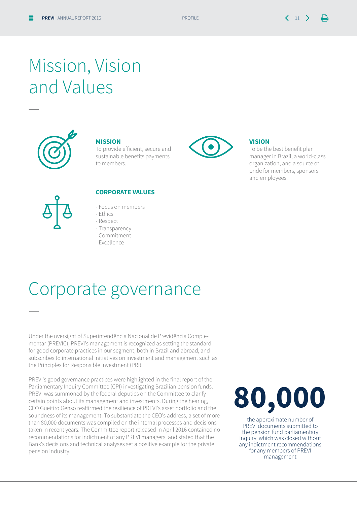### Mission, Vision and Values

![](_page_10_Picture_4.jpeg)

—

—

#### **Mission**

To provide efficient, secure and sustainable benefits payments to members.

![](_page_10_Picture_7.jpeg)

#### **Vision**

To be the best benefit plan manager in Brazil, a world-class organization, and a source of pride for members, sponsors and employees.

![](_page_10_Figure_10.jpeg)

#### **Corporate Values**

- Focus on members
- Ethics
- Respect
- Transparency
- Commitment
- Excellence

### Corporate governance

Under the oversight of Superintendência Nacional de Previdência Complementar (PREVIC), PREVI's management is recognized as setting the standard for good corporate practices in our segment, both in Brazil and abroad, and subscribes to international initiatives on investment and management such as the Principles for Responsible Investment (PRI).

PREVI's good governance practices were highlighted in the final report of the Parliamentary Inquiry Committee (CPI) investigating Brazilian pension funds. PREVI was summoned by the federal deputies on the Committee to clarify certain points about its management and investments. During the hearing, CEO Gueitiro Genso reaffirmed the resilience of PREVI's asset portfolio and the soundness of its management. To substantiate the CEO's address, a set of more than 80,000 documents was compiled on the internal processes and decisions taken in recent years. The Committee report released in April 2016 contained no recommendations for indictment of any PREVI managers, and stated that the Bank's decisions and technical analyses set a positive example for the private pension industry.

# **80,000**

the approximate number of PREVI documents submitted to the pension fund parliamentary inquiry, which was closed without any indictment recommendations for any members of PREVI management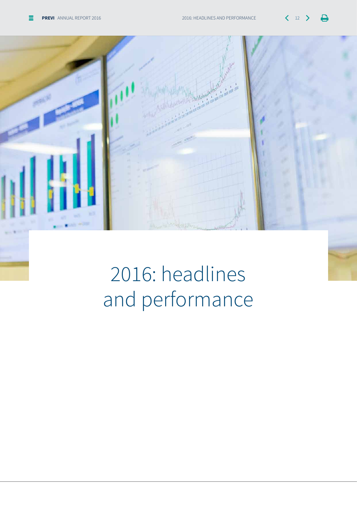$\Delta$ 

 $\mathcal{E}$ 

![](_page_11_Picture_2.jpeg)

# 2016: headlines and performance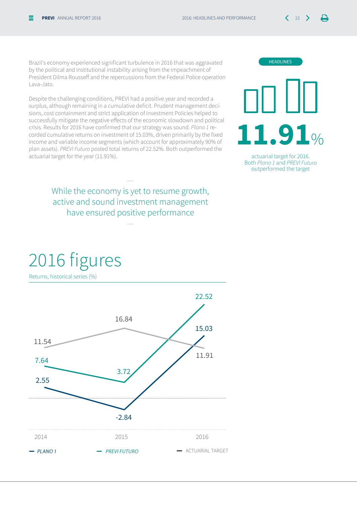Brazil's economy experienced significant turbulence in 2016 that was aggravated by the political and institutional instability arising from the impeachment of President Dilma Rousseff and the repercussions from the Federal Police operation Lava-Jato.

Despite the challenging conditions, PREVI had a positive year and recorded a surplus, although remaining in a cumulative deficit. Prudent management decisions, cost containment and strict application of Investment Policies helped to successfully mitigate the negative effects of the economic slowdown and political crisis. Results for 2016 have confirmed that our strategy was sound. *Plano 1* recorded cumulative returns on investment of 15.03%, driven primarily by the fixed income and variable income segments (which account for approximately 90% of plan assets). *PREVI Futuro* posted total returns of 22.52%. Both outperformed the actuarial target for the year (11.91%).

> While the economy is yet to resume growth, active and sound investment management have ensured positive performance

> > —

—

![](_page_12_Figure_6.jpeg)

![](_page_12_Picture_7.jpeg)

actuarial target for 2016. Both *Plano 1* and *PREVI Futuro* outperformed the target

### 2016 figures

Returns, historical series (%)

![](_page_12_Figure_11.jpeg)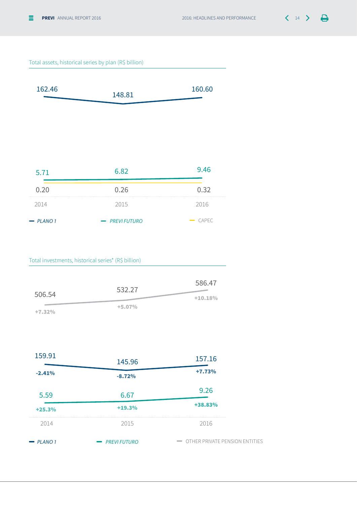![](_page_13_Picture_2.jpeg)

#### Total assets, historical series by plan (R\$ billion)

![](_page_13_Figure_4.jpeg)

| 5.71        | 6.82                 |                     |
|-------------|----------------------|---------------------|
| 0.20        | 0.26                 | 0.32                |
| 2014        | 2015                 | 2016                |
| $-$ PLANO 1 | - <b>PREVIFUTURO</b> | $\rightarrow$ CAPEC |

#### Total investments, historical series\* (R\$ billion)

|          | 532.27   | 586.47    |
|----------|----------|-----------|
| 506.54   |          | $+10.18%$ |
| $+7.32%$ | $+5.07%$ |           |

| 159.91        | 145.96               | 157.16                                                         |
|---------------|----------------------|----------------------------------------------------------------|
| $-2.41%$      | $-8.72%$             | $+7.73%$                                                       |
| 5.59          | 6.67                 | 9.26                                                           |
| $+25.3%$      | $+19.3%$             | +38.83%                                                        |
| 2014          | 2015                 | 2016                                                           |
| <b>PLANO1</b> | - <b>PREVIFUTURO</b> | OTHER PRIVATE PENSION ENTITIES<br>$\qquad \qquad \blacksquare$ |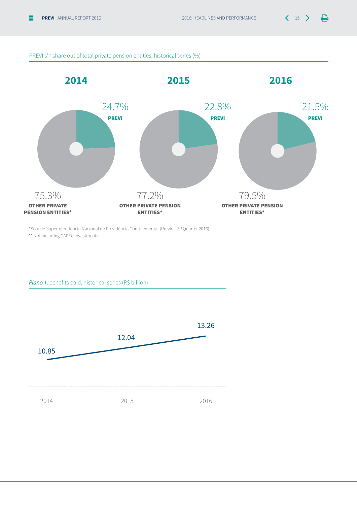$\Box$ 

![](_page_14_Figure_3.jpeg)

\*Source: Superintendência Nacional de Previdência Complementar (Previc – 3rd Quarter 2016). \*\* Not including CAPEC investments.

*Plano 1*: benefits paid, historical series (R\$ billion)

![](_page_14_Figure_6.jpeg)

#### PREVI's\*\* share out of total private pension entities, historical series (%)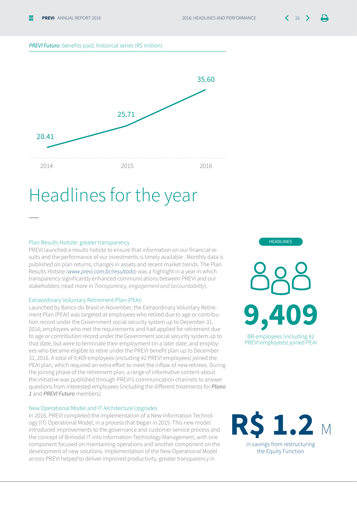![](_page_15_Picture_2.jpeg)

#### *PREVI Futuro*: benefits paid, historical series (R\$ million)

![](_page_15_Figure_4.jpeg)

### Headlines for the year

#### Plan Results Hotsite: greater transparency

—

PREVI launched a results hotsite to ensure that information on our financial results and the performance of our investments is timely available . Monthly data is published on plan returns, changes in assets and recent market trends. The Plan Results Hotsite (www.previ.com.br/resultado) was a highlight in a year in which transparency significantly enhanced communications between PREVI and our stakeholders (read more in Transparency, engagement and accountability).

#### Extraordinary Voluntary Retirement Plan (PEAI)

Launched by Banco do Brasil in November, the Extraordinary Voluntary Retirement Plan (PEAI) was targeted at employees who retired due to age or contribution record under the Government social security system up to December 31, 2016; employees who met the requirements and had applied for retirement due to age or contribution record under the Government social security system up to that date, but were to terminate their employment on a later date; and employees who became eligible to retire under the PREVI benefit plan up to December 31, 2016. A total of 9,409 employees (including 42 PREVI employees) joined the PEAI plan, which required an extra effort to meet the inflow of new retirees. During the joining phase of the retirement plan, a range of informative content about the initiative was published through PREVI's communication channels to answer questions from interested employees (including the different treatments for *Plano 1* and *PREVI Futuro* members).

#### New Operational Model and IT Architecture Upgrades

In 2016, PREVI completed the implementation of a New Information Technology (IT) Operational Model, in a process that began in 2015. This new model introduced improvements to the governance and customer service process and the concept of Bimodal IT into Information Technology Management, with one component focused on maintaining operations and another component on the development of new solutions. Implementation of the New Operational Model across PREVI helped to deliver improved productivity, greater transparency in

BB employees (including 42 PREVI employees) joined PEAI **9,409**

headlines

![](_page_15_Picture_13.jpeg)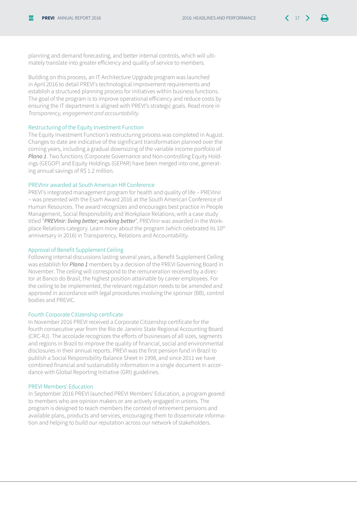planning and demand forecasting, and better internal controls, which will ultimately translate into greater efficiency and quality of service to members.

Building on this process, an IT Architecture Upgrade program was launched in April 2016 to detail PREVI's technological improvement requirements and establish a structured planning process for initiatives within business functions. The goal of the program is to improve operational efficiency and reduce costs by ensuring the IT department is aligned with PREVI's strategic goals. Read more in Transparency, engagement and accountability.

#### Restructuring of the Equity Investment Function

The Equity Investment Function's restructuring process was completed in August. Changes to date are indicative of the significant transformation planned over the coming years, including a gradual downsizing of the variable income portfolio of *Plano 1*. Two functions (Corporate Governance and Non-controlling Equity Holdings (GEGOP) and Equity Holdings (GEPAR) have been merged into one, generating annual savings of R\$ 1.2 million.

#### PREVInir awarded at South American HR Conference

PREVI's integrated management program for health and quality of life – PREVInir – was presented with the Esarh Award 2016 at the South American Conference of Human Resources. The award recognizes and encourages best practice in People Management, Social Responsibility and Workplace Relations; with a case study titled "*PREVInir: living better; working better*", PREVInir was awarded in the Workplace Relations category. Learn more about the program (which celebrated its 10<sup>th</sup> anniversary in 2016) in Transparency, Relations and Accountability.

#### Approval of Benefit Supplement Ceiling

Following internal discussions lasting several years, a Benefit Supplement Ceiling was establish for *Plano 1* members by a decision of the PREVI Governing Board in November. The ceiling will correspond to the remuneration received by a director at Banco do Brasil, the highest position attainable by career employees. For the ceiling to be implemented, the relevant regulation needs to be amended and approved in accordance with legal procedures involving the sponsor (BB), control bodies and PREVIC.

#### Fourth Corporate Citizenship certificate

In November 2016 PREVI received a Corporate Citizenship certificate for the fourth consecutive year from the Rio de Janeiro State Regional Accounting Board (CRC-RJ). The accolade recognizes the efforts of businesses of all sizes, segments and regions in Brazil to improve the quality of financial, social and environmental disclosures in their annual reports. PREVI was the first pension fund in Brazil to publish a Social Responsibility Balance Sheet in 1998, and since 2011 we have combined financial and sustainability information in a single document in accordance with Global Reporting Initiative (GRI) guidelines.

#### PREVI Members' Education

In September 2016 PREVI launched PREVI Members' Education, a program geared to members who are opinion makers or are actively engaged in unions. The program is designed to teach members the context of retirement pensions and available plans, products and services, encouraging them to disseminate information and helping to build our reputation across our network of stakeholders.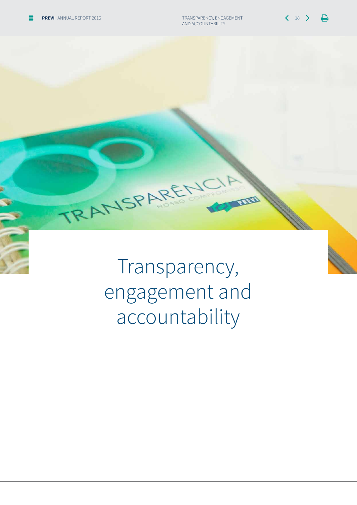$\Delta$ 

Transparency, engagement and accountability

RANSPARE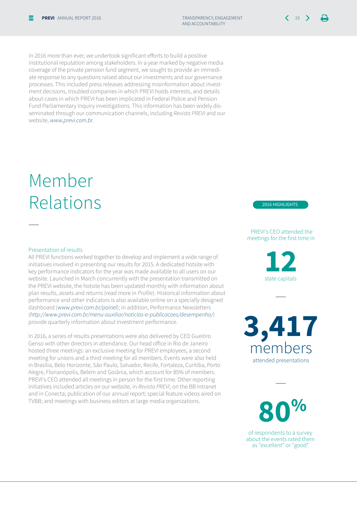In 2016 more than ever, we undertook significant efforts to build a positive institutional reputation among stakeholders. In a year marked by negative media coverage of the private pension fund segment, we sought to provide an immediate response to any questions raised about our investments and our governance processes. This included press releases addressing misinformation about investment decisions, troubled companies in which PREVI holds interests, and details about cases in which PREVI has been implicated in Federal Police and Pension Fund Parliamentary Inquiry investigations. This information has been widely disseminated through our communication channels, including *Revista PREVI* and our website, www.previ.com.br.

### Member Relations

#### Presentation of results

—

All PREVI functions worked together to develop and implement a wide range of initiatives involved in presenting our results for 2015. A dedicated hotsite with key performance indicators for the year was made available to all users on our website. Launched in March concurrently with the presentation transmitted on the PREVI website, the hotsite has been updated monthly with information about plan results, assets and returns (read more in Profile). Historical information about performance and other indicators is also available online on a specially designed dashboard (www.previ.com.br/painel); in addition, Performance Newsletters (http://www.previ.com.br/menu-auxiliar/noticias-e-publicacoes/desempenho/) provide quarterly information about investment performance.

In 2016, a series of results presentations were also delivered by CEO Gueitiro Genso with other directors in attendance. Our head office in Rio de Janeiro hosted three meetings: an exclusive meeting for PREVI employees, a second meeting for unions and a third meeting for all members. Events were also held in Brasília, Belo Horizonte, São Paulo, Salvador, Recife, Fortaleza, Curitiba, Porto Alegre, Florianópolis, Belém and Goiânia, which account for 85% of members. PREVI's CEO attended all meetings in person for the first time. Other reporting initiatives included articles on our website, in *Revista PREVI*, on the BB Intranet and in Conecta; publication of our annual report; special feature videos aired on TVBB; and meetings with business editors at large media organizations.

2016 highlights

#### PREVI's CEO attended the meetings for the first time in

**12** state capitals

—

**3,417** members attended presentations

**80%**

—

of respondents to a survey about the events rated them as "excellent" or "good"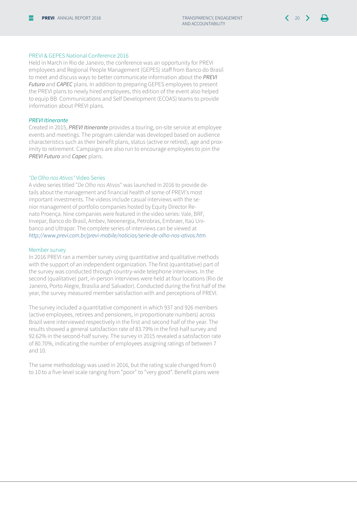#### PREVI & GEPES National Conference 2016

Held in March in Rio de Janeiro, the conference was an opportunity for PREVI employees and Regional People Management (GEPES) staff from Banco do Brasil to meet and discuss ways to better communicate information about the *PREVI Futuro* and *CAPEC* plans. In addition to preparing GEPES employees to present the PREVI plans to newly hired employees, this edition of the event also helped to equip BB Communications and Self Development (ECOAS) teams to provide information about PREVI plans.

#### *PREVI Itinerante*

Created in 2015, *PREVI Itinerante* provides a touring, on-site service at employee events and meetings. The program calendar was developed based on audience characteristics such as their benefit plans, status (active or retired), age and proximity to retirement. Campaigns are also run to encourage employees to join the *PREVI Futuro* and *Capec* plans.

#### *"De Olho nos Ativos"* Video Series

A video series titled "*De Olho nos Ativos*" was launched in 2016 to provide details about the management and financial health of some of PREVI's most important investments. The videos include casual interviews with the senior management of portfolio companies hosted by Equity Director Renato Proença. Nine companies were featured in the video series: Vale, BRF, Invepar, Banco do Brasil, Ambev, Neoenergia, Petrobras, Embraer, Itaú Unibanco and Ultrapar. The complete series of interviews can be viewed at http://www.previ.com.br/previ-mobile/noticias/serie-de-olho-nos-ativos.htm.

#### Member survey

In 2016 PREVI ran a member survey using quantitative and qualitative methods with the support of an independent organization. The first (quantitative) part of the survey was conducted through country-wide telephone interviews. In the second (qualitative) part, in-person interviews were held at four locations (Rio de Janeiro, Porto Alegre, Brasilia and Salvador). Conducted during the first half of the year, the survey measured member satisfaction with and perceptions of PREVI.

The survey included a quantitative component in which 937 and 926 members (active employees, retirees and pensioners, in proportionate numbers) across Brazil were interviewed respectively in the first and second half of the year. The results showed a general satisfaction rate of 83.79% in the first-half survey and 92.62% in the second-half survey. The survey in 2015 revealed a satisfaction rate of 80.70%, indicating the number of employees assigning ratings of between 7 and 10.

The same methodology was used in 2016, but the rating scale changed from 0 to 10 to a five-level scale ranging from "poor" to "very good". Benefit plans were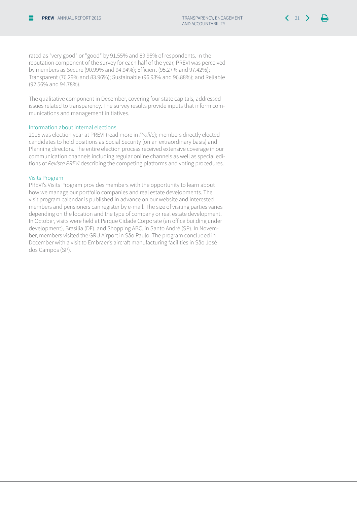rated as "very good" or "good" by 91.55% and 89.95% of respondents. In the reputation component of the survey for each half of the year, PREVI was perceived by members as Secure (90.99% and 94.94%); Efficient (95.27% and 97.42%); Transparent (76.29% and 83.96%); Sustainable (96.93% and 96.88%); and Reliable (92.56% and 94.78%).

The qualitative component in December, covering four state capitals, addressed issues related to transparency. The survey results provide inputs that inform communications and management initiatives.

#### Information about internal elections

2016 was election year at PREVI (read more in Profile); members directly elected candidates to hold positions as Social Security (on an extraordinary basis) and Planning directors. The entire election process received extensive coverage in our communication channels including regular online channels as well as special editions of *Revista PREVI* describing the competing platforms and voting procedures.

#### Visits Program

PREVI's Visits Program provides members with the opportunity to learn about how we manage our portfolio companies and real estate developments. The visit program calendar is published in advance on our website and interested members and pensioners can register by e-mail. The size of visiting parties varies depending on the location and the type of company or real estate development. In October, visits were held at Parque Cidade Corporate (an office building under development), Brasília (DF), and Shopping ABC, in Santo André (SP). In November, members visited the GRU Airport in São Paulo. The program concluded in December with a visit to Embraer's aircraft manufacturing facilities in São José dos Campos (SP).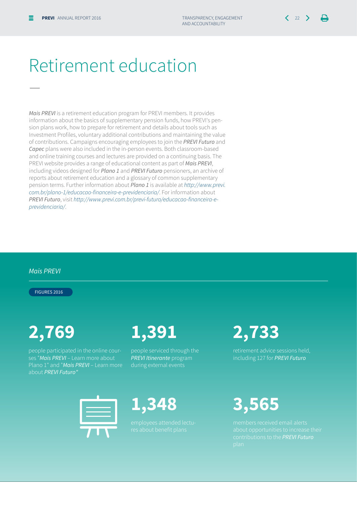—

### Retirement education

*Mais PREVI* is a retirement education program for PREVI members. It provides information about the basics of supplementary pension funds, how PREVI's pension plans work, how to prepare for retirement and details about tools such as Investment Profiles, voluntary additional contributions and maintaining the value of contributions. Campaigns encouraging employees to join the *PREVI Futuro* and *Capec* plans were also included in the in-person events. Both classroom-based and online training courses and lectures are provided on a continuing basis. The PREVI website provides a range of educational content as part of *Mais PREVI*, including videos designed for *Plano 1* and *PREVI Futuro* pensioners, an archive of reports about retirement education and a glossary of common supplementary pension terms. Further information about *Plano 1* is available at http://www.previ. com.br/plano-1/educacao-financeira-e-previdenciaria/. For information about *PREVI Futuro*, visit http://www.previ.com.br/previ-futuro/educacao-financeira-eprevidenciaria/.

#### *Mais PREVI*

figures 2016

people participated in the online courses "*Mais PREVI* – Learn more about Plano 1" and "*Mais PREVI* – Learn more about *PREVI Futuro"*

### **2,769 1,391 2,733**

people serviced through the *PREVI Itinerante* program during external events

including 127 for *PREVI Futuro*

![](_page_21_Picture_13.jpeg)

![](_page_21_Picture_14.jpeg)

contributions to the *PREVI Futuro*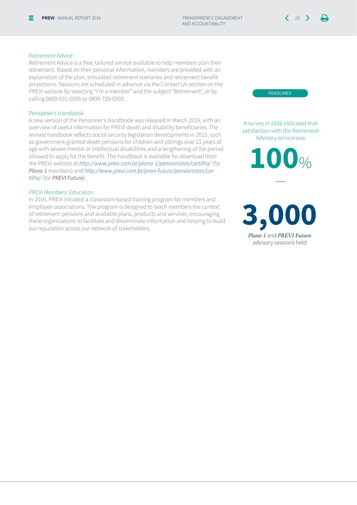#### Retirement Advice

Retirement Advice is a free, tailored service available to help members plan their retirement. Based on their personal information, members are provided with an explanation of the plan, simulated retirement scenarios and retirement benefit projections. Sessions are scheduled in advance via the Contact Us section on the PREVI website by selecting "I'm a member" and the subject "Retirement", or by calling 0800-031-0505 or 0800-729-0505.

#### Pensioner's Handbook

A new version of the Pensioner's Handbook was released in March 2016, with an overview of useful information for PREVI death and disability beneficiaries. The revised handbook reflects social security legislation developments in 2015, such as government-granted death pensions for children and siblings over 21 years of age with severe mental or intellectual disabilities and a lengthening of the period allowed to apply for the benefit. The handbook is available for download from the PREVI website at http://www.previ.com.br/plano-1/pensionistas/cartilha/ (for *Plano 1* members) and http://www.previ.com.br/previ-futuro/pensionistas/cartilha/ (for *PREVI Futuro*).

#### PREVI Members' Education

In 2016, PREVI initiated a classroom-based training program for members and employee associations. The program is designed to teach members the context of retirement pensions and available plans, products and services, encouraging these organizations to facilitate and disseminate information and helping to build our reputation across our network of stakeholders.

**HEADLINES** 

A survey in 2016 indicated that satisfaction with the Retirement Advisory service was

**100**%

—

**3,000** *Plano 1* and *PREVI Futuro*  advisory sessions held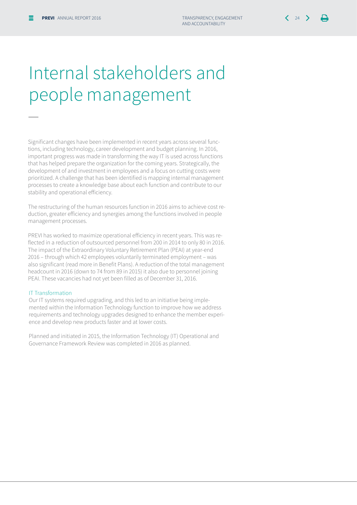## Internal stakeholders and people management

Significant changes have been implemented in recent years across several functions, including technology, career development and budget planning. In 2016, important progress was made in transforming the way IT is used across functions that has helped prepare the organization for the coming years. Strategically, the development of and investment in employees and a focus on cutting costs were prioritized. A challenge that has been identified is mapping internal management processes to create a knowledge base about each function and contribute to our stability and operational efficiency.

The restructuring of the human resources function in 2016 aims to achieve cost reduction, greater efficiency and synergies among the functions involved in people management processes.

PREVI has worked to maximize operational efficiency in recent years. This was reflected in a reduction of outsourced personnel from 200 in 2014 to only 80 in 2016. The impact of the Extraordinary Voluntary Retirement Plan (PEAI) at year-end 2016 – through which 42 employees voluntarily terminated employment – was also significant (read more in Benefit Plans). A reduction of the total management headcount in 2016 (down to 74 from 89 in 2015) it also due to personnel joining PEAI. These vacancies had not yet been filled as of December 31, 2016.

#### IT Transformation

—

Our IT systems required upgrading, and this led to an initiative being implemented within the Information Technology function to improve how we address requirements and technology upgrades designed to enhance the member experience and develop new products faster and at lower costs.

Planned and initiated in 2015, the Information Technology (IT) Operational and Governance Framework Review was completed in 2016 as planned.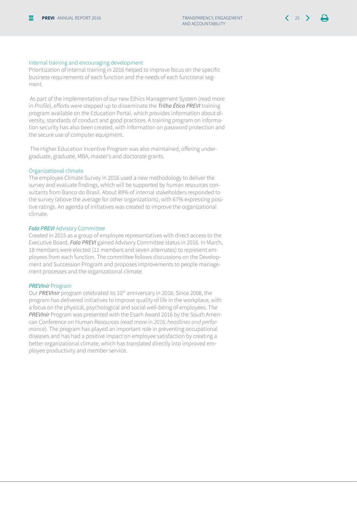#### Internal training and encouraging development

Prioritization of internal training in 2016 helped to improve focus on the specific business requirements of each function and the needs of each functional segment.

 As part of the implementation of our new Ethics Management System (read more in Profile), efforts were stepped up to disseminate the *Trilha Ética PREVI* training program available on the Education Portal, which provides information about diversity, standards of conduct and good practices. A training program on information security has also been created, with information on password protection and the secure use of computer equipment.

 The Higher Education Incentive Program was also maintained, offering undergraduate, graduate, MBA, master's and doctorate grants.

#### Organizational climate

The employee Climate Survey in 2016 used a new methodology to deliver the survey and evaluate findings, which will be supported by human resources consultants from Banco do Brasil. About 89% of internal stakeholders responded to the survey (above the average for other organizations), with 67% expressing positive ratings. An agenda of initiatives was created to improve the organizational climate.

#### *Fala PREVI* Advisory Committee

Created in 2015 as a group of employee representatives with direct access to the Executive Board, *Fala PREVI* gained Advisory Committee status in 2016. In March, 18 members were elected (11 members and seven alternates) to represent employees from each function. The committee follows discussions on the Development and Succession Program and proposes improvements to people management processes and the organizational climate.

#### *PREVInir* Program

Our *PREVInir* program celebrated its 10th anniversary in 2016. Since 2006, the program has delivered initiatives to improve quality of life in the workplace, with a focus on the physical, psychological and social well-being of employees. The *PREVInir* Program was presented with the Esarh Award 2016 by the South American Conference on Human Resources (read more in 2016: headlines and performance). The program has played an important role in preventing occupational diseases and has had a positive impact on employee satisfaction by creating a better organizational climate, which has translated directly into improved employee productivity and member service.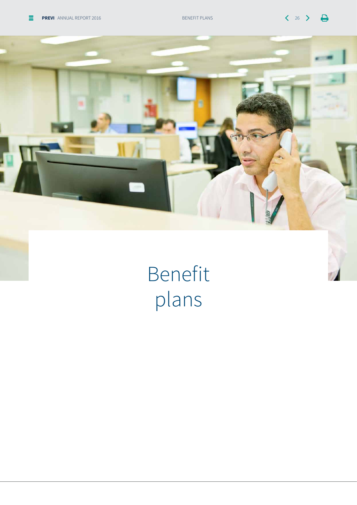![](_page_25_Picture_3.jpeg)

Benefit plans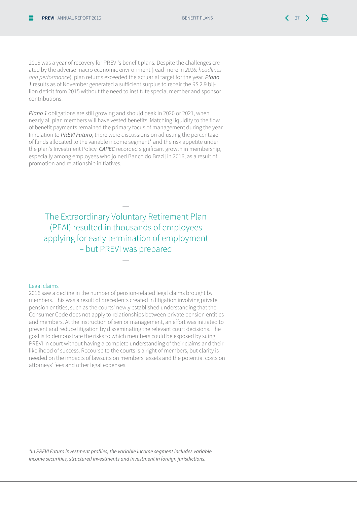2016 was a year of recovery for PREVI's benefit plans. Despite the challenges created by the adverse macro economic environment (read more in *2016: headlines*  and performance), plan returns exceeded the actuarial target for the year. *Plano 1* results as of November generated a sufficient surplus to repair the R\$ 2.9 billion deficit from 2015 without the need to institute special member and sponsor contributions.

*Plano 1* obligations are still growing and should peak in 2020 or 2021, when nearly all plan members will have vested benefits. Matching liquidity to the flow of benefit payments remained the primary focus of management during the year. In relation to *PREVI Futuro*, there were discussions on adjusting the percentage of funds allocated to the variable income segment\* and the risk appetite under the plan's Investment Policy. *CAPEC* recorded significant growth in membership, especially among employees who joined Banco do Brazil in 2016, as a result of promotion and relationship initiatives.

The Extraordinary Voluntary Retirement Plan (PEAI) resulted in thousands of employees applying for early termination of employment – but PREVI was prepared

—

—

#### Legal claims

2016 saw a decline in the number of pension-related legal claims brought by members. This was a result of precedents created in litigation involving private pension entities, such as the courts' newly established understanding that the Consumer Code does not apply to relationships between private pension entities and members. At the instruction of senior management, an effort was initiated to prevent and reduce litigation by disseminating the relevant court decisions. The goal is to demonstrate the risks to which members could be exposed by suing PREVI in court without having a complete understanding of their claims and their likelihood of success. Recourse to the courts is a right of members, but clarity is needed on the impacts of lawsuits on members' assets and the potential costs on attorneys' fees and other legal expenses.

\*In PREVI Futuro investment profiles, the variable income segment includes variable income securities, structured investments and investment in foreign jurisdictions.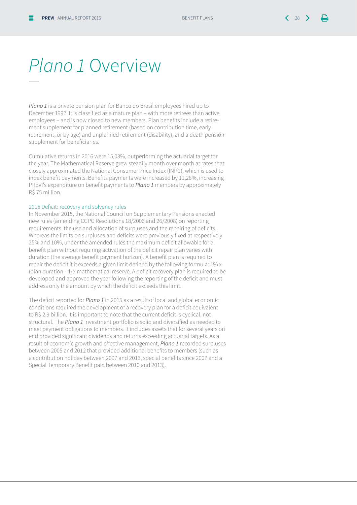### *Plano 1* Overview

*Plano 1* is a private pension plan for Banco do Brasil employees hired up to December 1997. It is classified as a mature plan – with more retirees than active employees – and is now closed to new members. Plan benefits include a retirement supplement for planned retirement (based on contribution time, early retirement, or by age) and unplanned retirement (disability), and a death pension supplement for beneficiaries.

Cumulative returns in 2016 were 15,03%, outperforming the actuarial target for the year. The Mathematical Reserve grew steadily month over month at rates that closely approximated the National Consumer Price Index (INPC), which is used to index benefit payments. Benefits payments were increased by 11,28%, increasing PREVI's expenditure on benefit payments to *Plano 1* members by approximately R\$ 75 million.

#### 2015 Deficit: recovery and solvency rules

In November 2015, the National Council on Supplementary Pensions enacted new rules (amending CGPC Resolutions 18/2006 and 26/2008) on reporting requirements, the use and allocation of surpluses and the repairing of deficits. Whereas the limits on surpluses and deficits were previously fixed at respectively 25% and 10%, under the amended rules the maximum deficit allowable for a benefit plan without requiring activation of the deficit repair plan varies with duration (the average benefit payment horizon). A benefit plan is required to repair the deficit if it exceeds a given limit defined by the following formula: 1% x (plan duration - 4) x mathematical reserve. A deficit recovery plan is required to be developed and approved the year following the reporting of the deficit and must address only the amount by which the deficit exceeds this limit.

The deficit reported for *Plano 1* in 2015 as a result of local and global economic conditions required the development of a recovery plan for a deficit equivalent to R\$ 2.9 billion. It is important to note that the current deficit is cyclical, not structural. The *Plano 1* investment portfolio is solid and diversified as needed to meet payment obligations to members. It includes assets that for several years on end provided significant dividends and returns exceeding actuarial targets. As a result of economic growth and effective management, *Plano 1* recorded surpluses between 2005 and 2012 that provided additional benefits to members (such as a contribution holiday between 2007 and 2013, special benefits since 2007 and a Special Temporary Benefit paid between 2010 and 2013).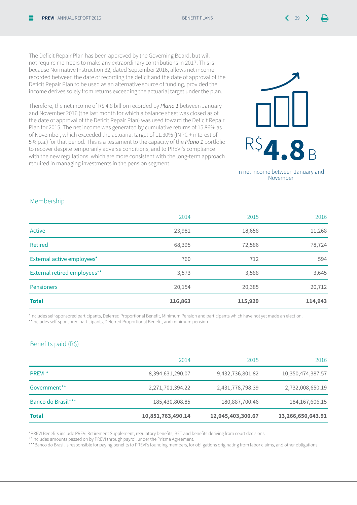The Deficit Repair Plan has been approved by the Governing Board, but will not require members to make any extraordinary contributions in 2017. This is because Normative Instruction 32, dated September 2016, allows net income recorded between the date of recording the deficit and the date of approval of the Deficit Repair Plan to be used as an alternative source of funding, provided the income derives solely from returns exceeding the actuarial target under the plan.

Therefore, the net income of R\$ 4.8 billion recorded by *Plano 1* between January and November 2016 (the last month for which a balance sheet was closed as of the date of approval of the Deficit Repair Plan) was used toward the Deficit Repair Plan for 2015. The net income was generated by cumulative returns of 15,86% as of November, which exceeded the actuarial target of 11.30% (INPC + interest of 5% p.a.) for that period. This is a testament to the capacity of the *Plano 1* portfolio to recover despite temporarily adverse conditions, and to PREVi's compliance with the new regulations, which are more consistent with the long-term approach required in managing investments in the pension segment.

![](_page_28_Picture_3.jpeg)

in net income between January and November

#### Membership

| <b>Total</b>                 | 116,863 | 115,929 | 114,943 |
|------------------------------|---------|---------|---------|
| <b>Pensioners</b>            | 20,154  | 20,385  | 20,712  |
| External retired employees** | 3,573   | 3,588   | 3,645   |
| External active employees*   | 760     | 712     | 594     |
| Retired                      | 68,395  | 72,586  | 78,724  |
| Active                       | 23,981  | 18,658  | 11,268  |
|                              | 2014    | 2015    | 2016    |

\*Includes self-sponsored participants, Deferred Proportional Benefit, Minimum Pension and participants which have not yet made an election. \*\*Includes self-sponsored participants, Deferred Proportional Benefit, and minimum pension.

#### Benefits paid (R\$)

|                    | 2014              | 2015              | 2016              |
|--------------------|-------------------|-------------------|-------------------|
| PREVI <sup>*</sup> | 8,394,631,290.07  | 9,432,736,801.82  | 10,350,474,387.57 |
| Government**       | 2,271,701,394.22  | 2,431,778,798.39  | 2,732,008,650.19  |
| Banco do Brasil*** | 185,430,808.85    | 180,887,700.46    | 184, 167, 606. 15 |
| <b>Total</b>       | 10,851,763,490.14 | 12,045,403,300.67 | 13,266,650,643.91 |

\*PREVI Benefits include PREVI Retirement Supplement, regulatory benefits, BET and benefits deriving from court decisions.

\*\*Includes amounts passed on by PREVI through payroll under the Prisma Agreement.

\*\*\*Banco do Brasil is responsible for paying benefits to PREVI's founding members, for obligations originating from labor claims, and other obligations.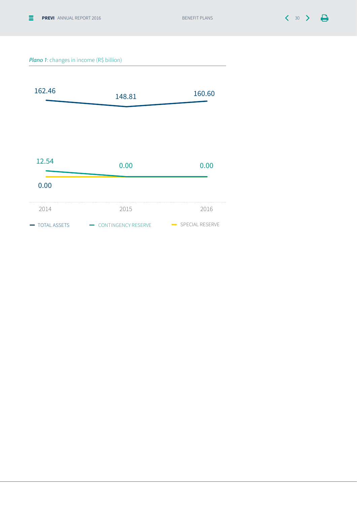#### *Plano 1*: changes in income (R\$ billion)

![](_page_29_Figure_4.jpeg)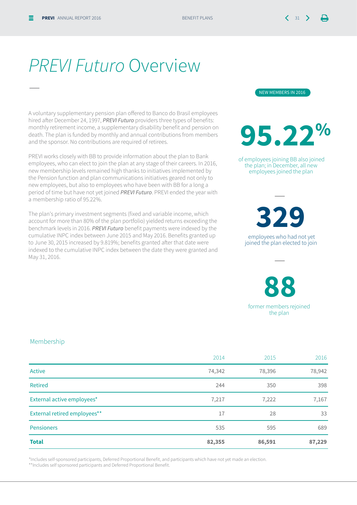—

### *PREVI Futuro* Overview

A voluntary supplementary pension plan offered to Banco do Brasil employees hired after December 24, 1997, *PREVI Futuro* providers three types of benefits: monthly retirement income, a supplementary disability benefit and pension on death. The plan is funded by monthly and annual contributions from members and the sponsor. No contributions are required of retirees.

PREVI works closely with BB to provide information about the plan to Bank employees, who can elect to join the plan at any stage of their careers. In 2016, new membership levels remained high thanks to initiatives implemented by the Pension function and plan communications initiatives geared not only to new employees, but also to employees who have been with BB for a long a period of time but have not yet joined *PREVI Futuro*. PREVI ended the year with a membership ratio of 95.22%.

The plan's primary investment segments (fixed and variable income, which account for more than 80% of the plan portfolio) yielded returns exceeding the benchmark levels in 2016. *PREVI Futuro* benefit payments were indexed by the cumulative INPC index between June 2015 and May 2016. Benefits granted up to June 30, 2015 increased by 9.819%; benefits granted after that date were indexed to the cumulative INPC index between the date they were granted and May 31, 2016.

![](_page_30_Picture_7.jpeg)

![](_page_30_Picture_8.jpeg)

 of employees joining BB also joined the plan; in December, all new employees joined the plan

—

 employees who had not yet **329**

joined the plan elected to join

—

**88**

former members rejoined the plan

#### Membership

| <b>Total</b>                 | 82,355 | 86,591 | 87,229 |
|------------------------------|--------|--------|--------|
| <b>Pensioners</b>            | 535    | 595    | 689    |
| External retired employees** | 17     | 28     | 33     |
| External active employees*   | 7,217  | 7,222  | 7,167  |
| Retired                      | 244    | 350    | 398    |
| Active                       | 74,342 | 78,396 | 78,942 |
|                              | 2014   | 2015   | 2016   |

\*Includes self-sponsored participants, Deferred Proportional Benefit, and participants which have not yet made an election.

\*\*Includes self sponsored participants and Deferred Proportional Benefit.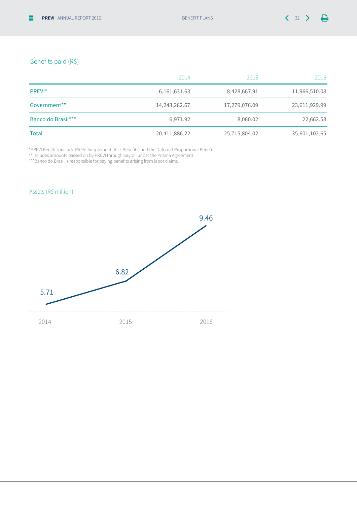#### Benefits paid (R\$)

|                    | 2014            | 2015          | 2016          |
|--------------------|-----------------|---------------|---------------|
| PREVI <sup>*</sup> | 6, 161, 631. 63 | 8,428,667.91  | 11,966,510.08 |
| Government**       | 14,243,282.67   | 17,279,076.09 | 23,611,929.99 |
| Banco do Brasil*** | 6,971.92        | 8,060.02      | 22,662.58     |
| <b>Total</b>       | 20,411,886.22   | 25,715,804.02 | 35,601,102.65 |

\*PREVI Benefits include PREVI Supplement (Risk Benefits) and the Deferred Proportional Benefit.

\*\*Includes amounts passed on by PREVI through payroll under the Prisma Agreement.

\*\*\*Banco do Brasil is responsible for paying benefits arising from labor claims.

![](_page_31_Figure_8.jpeg)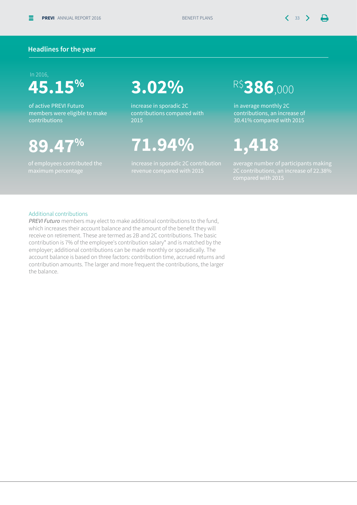$\mathbf{\mathsf{u}}$ 

#### **Headlines for the year**

#### In 2016,

### **45.15%**

of active PREVI Futuro members were eligible to make contributions

### **89.47%**

of employees contributed the

### **3.02%**

increase in sporadic 2C contributions compared with 2015

### **71.94%**

increase in sporadic 2C contribution

### R\$**386**,000

in average monthly 2C contributions, an increase of 30.41% compared with 2015

### **1,418**

#### Additional contributions

*PREVI Futuro* members may elect to make additional contributions to the fund, which increases their account balance and the amount of the benefit they will receive on retirement. These are termed as 2B and 2C contributions. The basic contribution is 7% of the employee's contribution salary\* and is matched by the employer; additional contributions can be made monthly or sporadically. The account balance is based on three factors: contribution time, accrued returns and contribution amounts. The larger and more frequent the contributions, the larger the balance.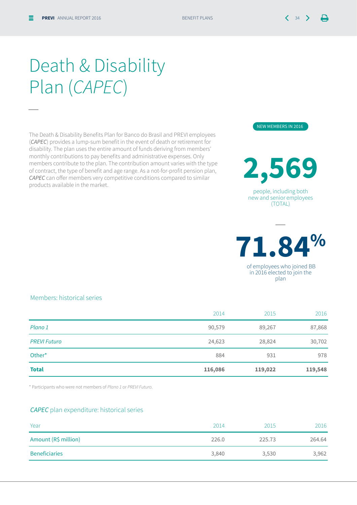—

Death & Disability Plan (*CAPEC*)

The Death & Disability Benefits Plan for Banco do Brasil and PREVI employees (*CAPEC*) provides a lump-sum benefit in the event of death or retirement for disability. The plan uses the entire amount of funds deriving from members' monthly contributions to pay benefits and administrative expenses. Only members contribute to the plan. The contribution amount varies with the type of contract, the type of benefit and age range. As a not-for-profit pension plan, *CAPEC* can offer members very competitive conditions compared to similar products available in the market.

Members: historical series

| <b>Total</b>        | 116,086 | 119,022 | 119,548 |
|---------------------|---------|---------|---------|
| Other*              | 884     | 931     | 978     |
| <b>PREVI Futuro</b> | 24,623  | 28,824  | 30,702  |
| Plano 1             | 90,579  | 89,267  | 87,868  |
|                     | 2014    | 2015    | 2016    |

\* Participants who were not members of *Plano 1* or *PREVI Futuro*.

#### *CAPEC* plan expenditure: historical series

| Year                 | 2014  | 2015   | 2016   |
|----------------------|-------|--------|--------|
| Amount (R\$ million) | 226.0 | 225.73 | 264.64 |
| <b>Beneficiaries</b> | 3,840 | 3,530  | 3,962  |

![](_page_33_Picture_9.jpeg)

people, including both new and senior employees (TOTAL)

![](_page_33_Picture_10.jpeg)

—

in 2016 elected to join the plan

![](_page_33_Picture_12.jpeg)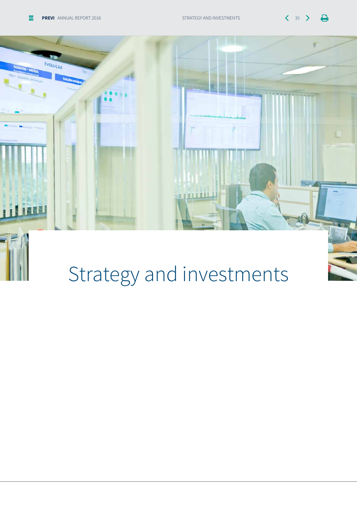$\Box$ 

![](_page_34_Picture_2.jpeg)

# Strategy and investments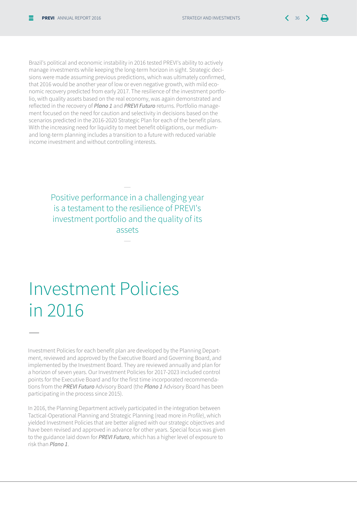Brazil's political and economic instability in 2016 tested PREVI's ability to actively manage investments while keeping the long-term horizon in sight. Strategic decisions were made assuming previous predictions, which was ultimately confirmed, that 2016 would be another year of low or even negative growth, with mild economic recovery predicted from early 2017. The resilience of the investment portfolio, with quality assets based on the real economy, was again demonstrated and reflected in the recovery of *Plano 1* and *PREVI Futuro* returns. Portfolio management focused on the need for caution and selectivity in decisions based on the scenarios predicted in the 2016-2020 Strategic Plan for each of the benefit plans. With the increasing need for liquidity to meet benefit obligations, our mediumand long-term planning includes a transition to a future with reduced variable income investment and without controlling interests.

> Positive performance in a challenging year is a testament to the resilience of PREVI's investment portfolio and the quality of its assets

> > —

—

### Investment Policies in 2016

—

Investment Policies for each benefit plan are developed by the Planning Department, reviewed and approved by the Executive Board and Governing Board, and implemented by the Investment Board. They are reviewed annually and plan for a horizon of seven years. Our Investment Policies for 2017-2023 included control points for the Executive Board and for the first time incorporated recommendations from the *PREVI Futuro* Advisory Board (the *Plano 1* Advisory Board has been participating in the process since 2015).

In 2016, the Planning Department actively participated in the integration between Tactical-Operational Planning and Strategic Planning (read more in Profile), which yielded Investment Policies that are better aligned with our strategic objectives and have been revised and approved in advance for other years. Special focus was given to the guidance laid down for *PREVI Futuro*, which has a higher level of exposure to risk than *Plano 1*.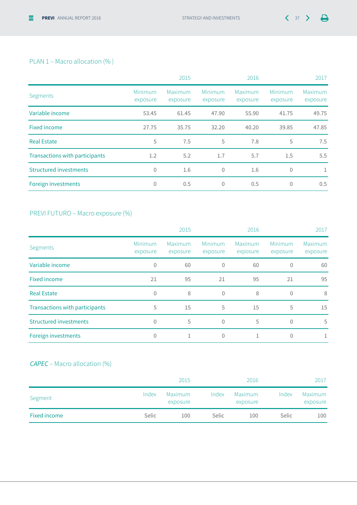#### PLAN 1 – Macro allocation (% )

|                                       |                     | 2015                |                     | 2016                |                     | 2017                |
|---------------------------------------|---------------------|---------------------|---------------------|---------------------|---------------------|---------------------|
| Segments                              | Minimum<br>exposure | Maximum<br>exposure | Minimum<br>exposure | Maximum<br>exposure | Minimum<br>exposure | Maximum<br>exposure |
| Variable income                       | 53.45               | 61.45               | 47.90               | 55.90               | 41.75               | 49.75               |
| Fixed income                          | 27.75               | 35.75               | 32.20               | 40.20               | 39.85               | 47.85               |
| <b>Real Estate</b>                    | 5                   | 7.5                 | 5                   | 7.8                 | 5                   | 7.5                 |
| <b>Transactions with participants</b> | 1.2                 | 5.2                 | 1.7                 | 5.7                 | 1.5                 | 5.5                 |
| <b>Structured investments</b>         | $\mathbf{0}$        | 1.6                 | $\mathbf{0}$        | 1.6                 | $\theta$            | 1                   |
| Foreign investments                   | $\mathbf{0}$        | 0.5                 | $\mathbf{0}$        | 0.5                 | $\theta$            | 0.5                 |

#### PREVI FUTURO – Macro exposure (%)

|                                       |                     | 2015                |                     | 2016                |                     | 2017                |
|---------------------------------------|---------------------|---------------------|---------------------|---------------------|---------------------|---------------------|
| Segments                              | Minimum<br>exposure | Maximum<br>exposure | Minimum<br>exposure | Maximum<br>exposure | Minimum<br>exposure | Maximum<br>exposure |
| Variable income                       | 0                   | 60                  | $\theta$            | 60                  | $\theta$            | 60                  |
| <b>Fixed income</b>                   | 21                  | 95                  | 21                  | 95                  | 21                  | 95                  |
| <b>Real Estate</b>                    | $\mathbf{0}$        | 8                   | $\theta$            | 8                   | $\mathbf{0}$        | 8                   |
| <b>Transactions with participants</b> | 5                   | 15                  | 5                   | 15                  | 5                   | 15                  |
| <b>Structured investments</b>         | $\Omega$            | 5                   | $\theta$            | 5                   | $\theta$            | 5                   |
| Foreign investments                   | 0                   |                     | $\theta$            |                     | 0                   |                     |

### *CAPEC* – Macro allocation (%)

|              |       | 2015                |              | 2016                |              | 2017                |
|--------------|-------|---------------------|--------------|---------------------|--------------|---------------------|
| Segment      | Index | Maximum<br>exposure | Index        | Maximum<br>exposure | Index        | Maximum<br>exposure |
| Fixed income | Selic | 100                 | <b>Selic</b> | 100                 | <b>Selic</b> | 100                 |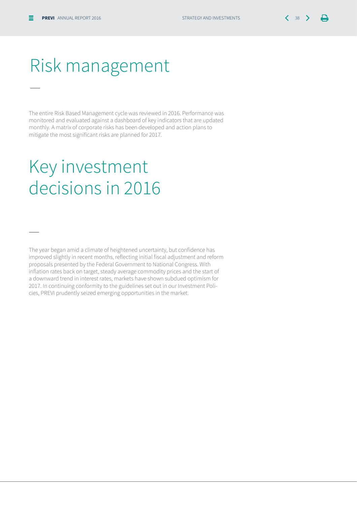—

—

### Risk management

The entire Risk Based Management cycle was reviewed in 2016. Performance was monitored and evaluated against a dashboard of key indicators that are updated monthly. A matrix of corporate risks has been developed and action plans to mitigate the most significant risks are planned for 2017.

### Key investment decisions in 2016

The year began amid a climate of heightened uncertainty, but confidence has improved slightly in recent months, reflecting initial fiscal adjustment and reform proposals presented by the Federal Government to National Congress. With inflation rates back on target, steady average commodity prices and the start of a downward trend in interest rates, markets have shown subdued optimism for 2017. In continuing conformity to the guidelines set out in our Investment Policies, PREVI prudently seized emerging opportunities in the market.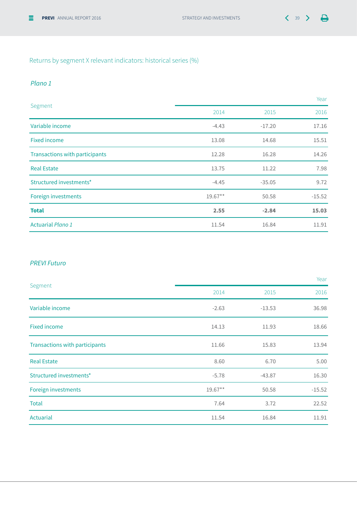### Returns by segment X relevant indicators: historical series (%)

#### *Plano 1*

| Segment                        |           |          | Year     |
|--------------------------------|-----------|----------|----------|
|                                | 2014      | 2015     | 2016     |
| Variable income                | $-4.43$   | $-17.20$ | 17.16    |
| <b>Fixed income</b>            | 13.08     | 14.68    | 15.51    |
| Transactions with participants | 12.28     | 16.28    | 14.26    |
| <b>Real Estate</b>             | 13.75     | 11.22    | 7.98     |
| Structured investments*        | $-4.45$   | $-35.05$ | 9.72     |
| Foreign investments            | $19.67**$ | 50.58    | $-15.52$ |
| <b>Total</b>                   | 2.55      | $-2.84$  | 15.03    |
| <b>Actuarial Plano 1</b>       | 11.54     | 16.84    | 11.91    |

#### *PREVI Futuro*

| Segment                        |            |          | Year     |
|--------------------------------|------------|----------|----------|
|                                | 2014       | 2015     | 2016     |
| Variable income                | $-2.63$    | $-13.53$ | 36.98    |
| <b>Fixed income</b>            | 14.13      | 11.93    | 18.66    |
| Transactions with participants | 11.66      | 15.83    | 13.94    |
| <b>Real Estate</b>             | 8.60       | 6.70     | 5.00     |
| Structured investments*        | $-5.78$    | $-43.87$ | 16.30    |
| Foreign investments            | $19.67***$ | 50.58    | $-15.52$ |
| <b>Total</b>                   | 7.64       | 3.72     | 22.52    |
| Actuarial                      | 11.54      | 16.84    | 11.91    |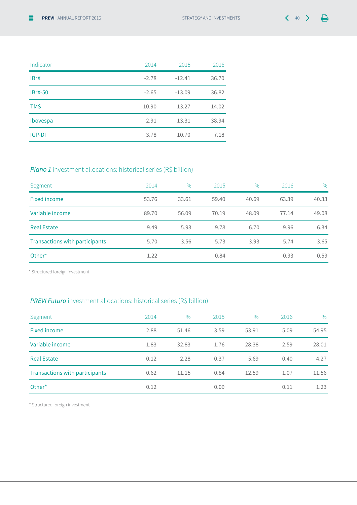| 40<br>٠ |  |
|---------|--|
|         |  |

| Indicator      | 2014    | 2015     | 2016  |
|----------------|---------|----------|-------|
| <b>IBrX</b>    | $-2.78$ | $-12.41$ | 36.70 |
| <b>IBrX-50</b> | $-2.65$ | $-13.09$ | 36.82 |
| <b>TMS</b>     | 10.90   | 13.27    | 14.02 |
| Ibovespa       | $-2.91$ | $-13.31$ | 38.94 |
| IGP-DI         | 3.78    | 10.70    | 7.18  |

### *Plano 1* investment allocations: historical series (R\$ billion)

| Segment                        | 2014  | $\frac{0}{0}$ | 2015  | $\%$  | 2016  | $\%$  |
|--------------------------------|-------|---------------|-------|-------|-------|-------|
| Fixed income                   | 53.76 | 33.61         | 59.40 | 40.69 | 63.39 | 40.33 |
| Variable income                | 89.70 | 56.09         | 70.19 | 48.09 | 77.14 | 49.08 |
| <b>Real Estate</b>             | 9.49  | 5.93          | 9.78  | 6.70  | 9.96  | 6.34  |
| Transactions with participants | 5.70  | 3.56          | 5.73  | 3.93  | 5.74  | 3.65  |
| Other*                         | 1.22  |               | 0.84  |       | 0.93  | 0.59  |

\* Structured foreign investment

### *PREVI Futuro* investment allocations: historical series (R\$ billion)

| Segment                        | 2014 | $\%$  | 2015 | $\frac{0}{0}$ | 2016 | $\frac{0}{0}$ |
|--------------------------------|------|-------|------|---------------|------|---------------|
| <b>Fixed income</b>            | 2.88 | 51.46 | 3.59 | 53.91         | 5.09 | 54.95         |
| Variable income                | 1.83 | 32.83 | 1.76 | 28.38         | 2.59 | 28.01         |
| <b>Real Estate</b>             | 0.12 | 2.28  | 0.37 | 5.69          | 0.40 | 4.27          |
| Transactions with participants | 0.62 | 11.15 | 0.84 | 12.59         | 1.07 | 11.56         |
| Other*                         | 0.12 |       | 0.09 |               | 0.11 | 1.23          |

\* Structured foreign investment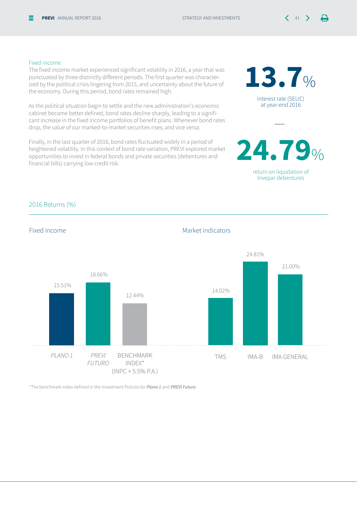interest rate (SELIC) at year-end 2016

**13.7**%

return on liquidation of Invepar debentures

**24.79**%

—

#### Fixed income

The fixed income market experienced significant volatility in 2016, a year that was punctuated by three distinctly different periods. The first quarter was characterized by the political crisis lingering from 2015, and uncertainty about the future of the economy. During this period, bond rates remained high.

As the political situation begin to settle and the new administration's economic cabinet became better defined, bond rates decline sharply, leading to a significant increase in the fixed income portfolios of benefit plans. Whenever bond rates drop, the value of our marked-to-market securities rises, and vice versa.

Finally, in the last quarter of 2016, bond rates fluctuated widely in a period of heightened volatility. In this context of bond rate variation, PREVI explored market opportunities to invest in federal bonds and private securities (debentures and financial bills) carrying low credit risk.

#### 2016 Returns (%)

![](_page_40_Figure_8.jpeg)

\*The benchmark index defined in the Investment Policies for *Plano 1* and *PREVI Futuro*.

#### Fixed income and the Market indicators of Market indicators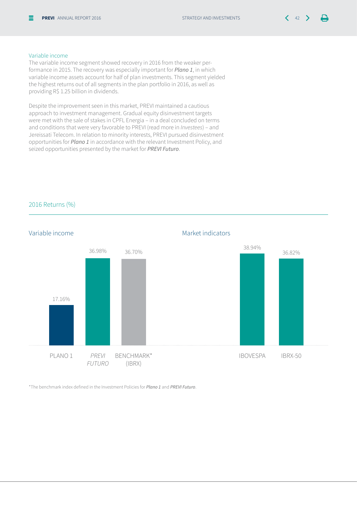#### Variable income

The variable income segment showed recovery in 2016 from the weaker performance in 2015. The recovery was especially important for *Plano 1*, in which variable income assets account for half of plan investments. This segment yielded the highest returns out of all segments in the plan portfolio in 2016, as well as providing R\$ 1.25 billion in dividends.

Despite the improvement seen in this market, PREVI maintained a cautious approach to investment management. Gradual equity disinvestment targets were met with the sale of stakes in CPFL Energia – in a deal concluded on terms and conditions that were very favorable to PREVI (read more in *Investees*) – and Jereissati Telecom. In relation to minority interests, PREVI pursued disinvestment opportunities for *Plano 1* in accordance with the relevant Investment Policy, and seized opportunities presented by the market for *PREVI Futuro*.

![](_page_41_Figure_6.jpeg)

2016 Returns (%)

\*The benchmark index defined in the Investment Policies for *Plano 1* and *PREVI Futuro*.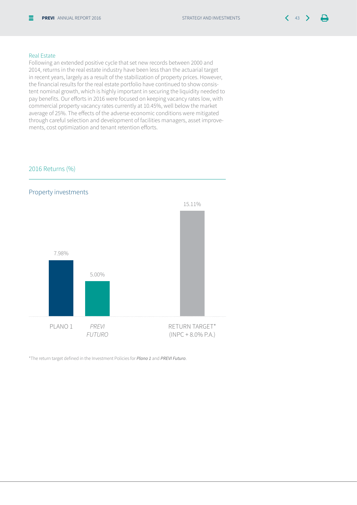#### Real Estate

Following an extended positive cycle that set new records between 2000 and 2014, returns in the real estate industry have been less than the actuarial target in recent years, largely as a result of the stabilization of property prices. However, the financial results for the real estate portfolio have continued to show consistent nominal growth, which is highly important in securing the liquidity needed to pay benefits. Our efforts in 2016 were focused on keeping vacancy rates low, with commercial property vacancy rates currently at 10.45%, well below the market average of 25%. The effects of the adverse economic conditions were mitigated through careful selection and development of facilities managers, asset improvements, cost optimization and tenant retention efforts.

#### 2016 Returns (%)

![](_page_42_Figure_6.jpeg)

\*The return target defined in the Investment Policies for *Plano 1* and *PREVI Futuro*.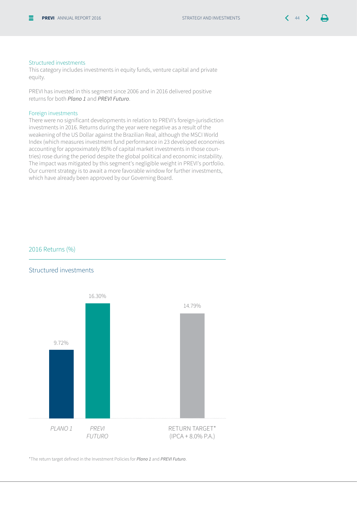#### Structured investments

This category includes investments in equity funds, venture capital and private equity.

PREVI has invested in this segment since 2006 and in 2016 delivered positive returns for both *Plano 1* and *PREVI Futuro*.

#### Foreign investments

There were no significant developments in relation to PREVI's foreign-jurisdiction investments in 2016. Returns during the year were negative as a result of the weakening of the US Dollar against the Brazilian Real, although the MSCI World Index (which measures investment fund performance in 23 developed economies accounting for approximately 85% of capital market investments in those countries) rose during the period despite the global political and economic instability. The impact was mitigated by this segment's negligible weight in PREVI's portfolio. Our current strategy is to await a more favorable window for further investments, which have already been approved by our Governing Board.

#### 2016 Returns (%)

#### Structured investments

![](_page_43_Figure_10.jpeg)

\*The return target defined in the Investment Policies for *Plano 1* and *PREVI Futuro*.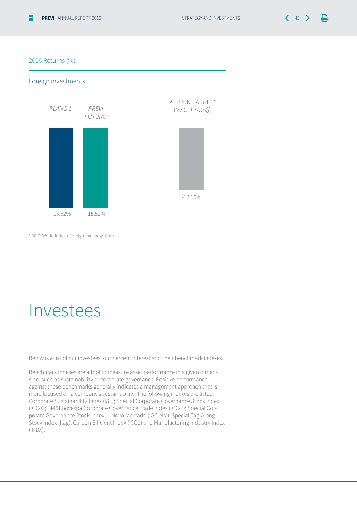#### 2016 Returns (%)

#### Foreign investments

![](_page_44_Figure_5.jpeg)

\* MSCI World Index + Foreign-Exchange Rate

### Investees

—

Below is a list of our investees, our percent interest and their benchmark indexes.

Benchmark indexes are a tool to measure asset performance in a given dimension, such as sustainability or corporate governance. Positive performance against these benchmarks generally indicates a management approach that is more focused on a company's sustainability. The following indexes are listed: Corporate Sustainability Index (ISE); Special Corporate Governance Stock Index (IGC-X); BM&FBovespa Corporate Governance Trade Index (IGC-T); Special Corporate Governance Stock Index — Novo Mercado (IGC-NM); Special Tag-Along Stock Index (Itag); Carbon Efficient Index (ICO2) and Manufacturing Industry Index (INDX).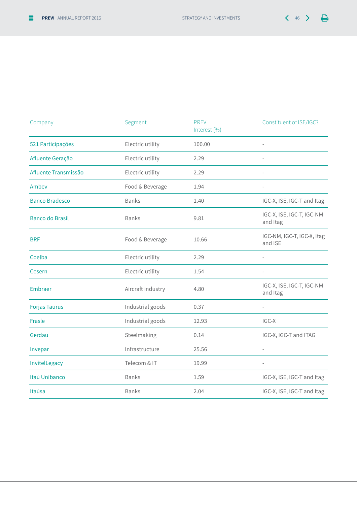| $\Lambda$ C<br>ч. |  |  |
|-------------------|--|--|
|-------------------|--|--|

| Company                | Segment           | <b>PREVI</b><br>Interest (%) | Constituent of ISE/IGC?               |
|------------------------|-------------------|------------------------------|---------------------------------------|
| 521 Participações      | Electric utility  | 100.00                       |                                       |
| Afluente Geração       | Electric utility  | 2.29                         | $\overline{\phantom{0}}$              |
| Afluente Transmissão   | Electric utility  | 2.29                         | $\frac{1}{2}$                         |
| Ambev                  | Food & Beverage   | 1.94                         | $\overline{\phantom{0}}$              |
| <b>Banco Bradesco</b>  | <b>Banks</b>      | 1.40                         | IGC-X, ISE, IGC-T and Itag            |
| <b>Banco do Brasil</b> | <b>Banks</b>      | 9.81                         | IGC-X, ISE, IGC-T, IGC-NM<br>and Itag |
| <b>BRF</b>             | Food & Beverage   | 10.66                        | IGC-NM, IGC-T, IGC-X, Itag<br>and ISE |
| Coelba                 | Electric utility  | 2.29                         |                                       |
| Cosern                 | Electric utility  | 1.54                         |                                       |
| Embraer                | Aircraft industry | 4.80                         | IGC-X, ISE, IGC-T, IGC-NM<br>and Itag |
| <b>Forjas Taurus</b>   | Industrial goods  | 0.37                         | $\overline{\phantom{0}}$              |
| Frasle                 | Industrial goods  | 12.93                        | IGC-X                                 |
| Gerdau                 | Steelmaking       | 0.14                         | IGC-X, IGC-T and ITAG                 |
| Invepar                | Infrastructure    | 25.56                        |                                       |
| InvitelLegacy          | Telecom & IT      | 19.99                        |                                       |
| Itaú Unibanco          | <b>Banks</b>      | 1.59                         | IGC-X, ISE, IGC-T and Itag            |
| Itaúsa                 | <b>Banks</b>      | 2.04                         | IGC-X, ISE, IGC-T and Itag            |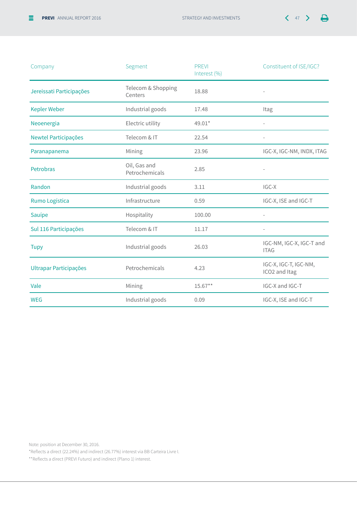![](_page_46_Picture_2.jpeg)

| Company                       | Segment                        | <b>PREVI</b><br>Interest (%) | Constituent of ISE/IGC?                 |
|-------------------------------|--------------------------------|------------------------------|-----------------------------------------|
| Jereissati Participações      | Telecom & Shopping<br>Centers  | 18.88                        |                                         |
| <b>Kepler Weber</b>           | Industrial goods               | 17.48                        | Itag                                    |
| Neoenergia                    | Electric utility               | 49.01*                       | $\overline{\phantom{a}}$                |
| Newtel Participações          | Telecom & IT                   | 22.54                        | $\overline{\phantom{a}}$                |
| Paranapanema                  | Mining                         | 23.96                        | IGC-X, IGC-NM, INDX, ITAG               |
| Petrobras                     | Oil, Gas and<br>Petrochemicals | 2.85                         |                                         |
| Randon                        | Industrial goods               | 3.11                         | IGC-X                                   |
| Rumo Logística                | Infrastructure                 | 0.59                         | IGC-X, ISE and IGC-T                    |
| Sauípe                        | Hospitality                    | 100.00                       | $\overline{\phantom{a}}$                |
| Sul 116 Participações         | Telecom & IT                   | 11.17                        |                                         |
| <b>Tupy</b>                   | Industrial goods               | 26.03                        | IGC-NM, IGC-X, IGC-T and<br><b>ITAG</b> |
| <b>Ultrapar Participações</b> | Petrochemicals                 | 4.23                         | IGC-X, IGC-T, IGC-NM,<br>ICO2 and Itag  |
| Vale                          | Mining                         | $15.67**$                    | IGC-X and IGC-T                         |
| <b>WEG</b>                    | Industrial goods               | 0.09                         | IGC-X, ISE and IGC-T                    |

Note: position at December 30, 2016.

\*Reflects a direct (22.24%) and indirect (26.77%) interest via BB Carteira Livre I.

\*\*Reflects a direct (PREVI Futuro) and indirect (Plano 1) interest.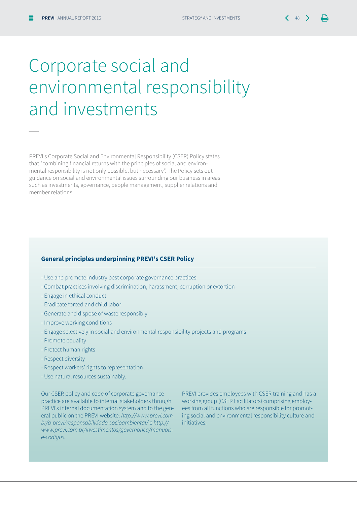—

### Corporate social and environmental responsibility and investments

PREVI's Corporate Social and Environmental Responsibility (CSER) Policy states that "combining financial returns with the principles of social and environmental responsibility is not only possible, but necessary". The Policy sets out guidance on social and environmental issues surrounding our business in areas such as investments, governance, people management, supplier relations and member relations.

#### **General principles underpinning PREVI's CSER Policy**

- Use and promote industry best corporate governance practices
- Combat practices involving discrimination, harassment, corruption or extortion
- Engage in ethical conduct
- Eradicate forced and child labor
- Generate and dispose of waste responsibly
- Improve working conditions
- Engage selectively in social and environmental responsibility projects and programs
- Promote equality
- Protect human rights
- Respect diversity
- Respect workers' rights to representation
- Use natural resources sustainably.

Our CSER policy and code of corporate governance practice are available to internal stakeholders through PREVI's internal documentation system and to the general public on the PREVI website: http://www.previ.com. br/a-previ/responsabilidade-socioambiental/ e http:// www.previ.com.br/investimentos/governanca/manuaise-codigos.

PREVI provides employees with CSER training and has a working group (CSER Facilitators) comprising employees from all functions who are responsible for promoting social and environmental responsibility culture and initiatives.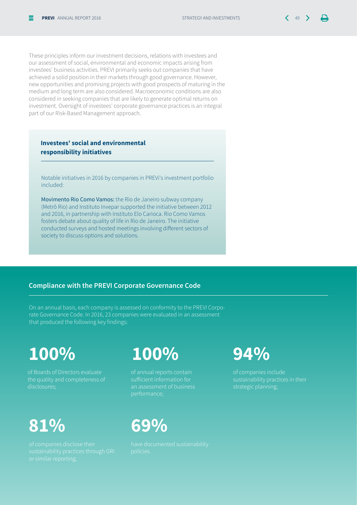These principles inform our investment decisions, relations with investees and our assessment of social, environmental and economic impacts arising from investees' business activities. PREVI primarily seeks out companies that have achieved a solid position in their markets through good governance. However, new opportunities and promising projects with good prospects of maturing in the medium and long term are also considered. Macroeconomic conditions are also considered in seeking companies that are likely to generate optimal returns on investment. Oversight of investees' corporate governance practices is an integral part of our Risk-Based Management approach.

**Investees' social and environmental responsibility initiatives**

Notable initiatives in 2016 by companies in PREVi's investment portfolio included:

Movimento Rio Como Vamos: the Rio de Janeiro subway company (Metrô Rio) and Instituto Invepar supported the initiative between 2012 and 2016, in partnership with Instituto Elo Carioca. Rio Como Vamos fosters debate about quality of life in Rio de Janeiro. The initiative conducted surveys and hosted meetings involving different sectors of society to discuss options and solutions.

#### **Compliance with the PREVI Corporate Governance Code**

On an annual basis, each company is assessed on conformity to the PREVI Corporate Governance Code. In 2016, 23 companies were evaluated in an assessment that produced the following key findings:

### **100%**

of Boards of Directors evaluate disclosures;

### **81% 69%**

### **100% 94%**

of annual reports contain sufficient information for an assessment of business performance;

of companies include sustainability practices in their